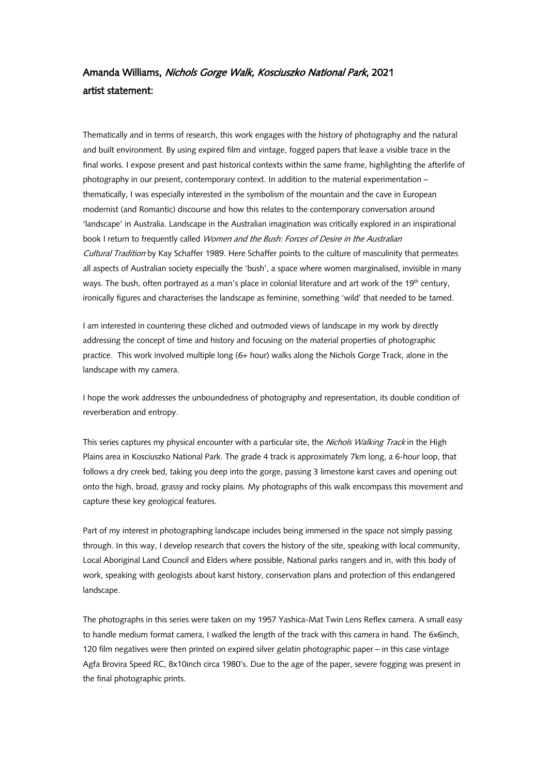## Amanda Williams, Nichols Gorge Walk, Kosciuszko National Park, 2021 artist statement:

Thematically and in terms of research, this work engages with the history of photography and the natural and built environment. By using expired film and vintage, fogged papers that leave a visible trace in the final works. I expose present and past historical contexts within the same frame, highlighting the afterlife of photography in our present, contemporary context. In addition to the material experimentation – thematically, I was especially interested in the symbolism of the mountain and the cave in European modernist (and Romantic) discourse and how this relates to the contemporary conversation around 'landscape' in Australia. Landscape in the Australian imagination was critically explored in an inspirational book I return to frequently called Women and the Bush: Forces of Desire in the Australian Cultural Tradition by Kay Schaffer 1989. Here Schaffer points to the culture of masculinity that permeates all aspects of Australian society especially the 'bush', a space where women marginalised, invisible in many ways. The bush, often portrayed as a man's place in colonial literature and art work of the 19th century, ironically figures and characterises the landscape as feminine, something 'wild' that needed to be tamed.

I am interested in countering these cliched and outmoded views of landscape in my work by directly addressing the concept of time and history and focusing on the material properties of photographic practice. This work involved multiple long (6+ hour) walks along the Nichols Gorge Track, alone in the landscape with my camera.

I hope the work addresses the unboundedness of photography and representation, its double condition of reverberation and entropy.

This series captures my physical encounter with a particular site, the Nichols Walking Track in the High Plains area in Kosciuszko National Park. The grade 4 track is approximately 7km long, a 6-hour loop, that follows a dry creek bed, taking you deep into the gorge, passing 3 limestone karst caves and opening out onto the high, broad, grassy and rocky plains. My photographs of this walk encompass this movement and capture these key geological features.

Part of my interest in photographing landscape includes being immersed in the space not simply passing through. In this way, I develop research that covers the history of the site, speaking with local community, Local Aboriginal Land Council and Elders where possible, National parks rangers and in, with this body of work, speaking with geologists about karst history, conservation plans and protection of this endangered landscape.

The photographs in this series were taken on my 1957 Yashica-Mat Twin Lens Reflex camera. A small easy to handle medium format camera, I walked the length of the track with this camera in hand. The 6x6inch, 120 film negatives were then printed on expired silver gelatin photographic paper – in this case vintage Agfa Brovira Speed RC, 8x10inch circa 1980's. Due to the age of the paper, severe fogging was present in the final photographic prints.